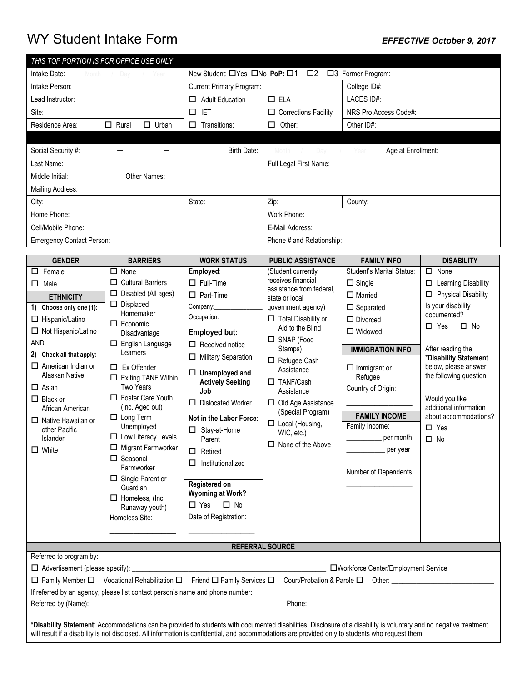# WY Student Intake Form *EFFECTIVE October 9, 2017*

| THIS TOP PORTION IS FOR OFFICE USE ONLY |                     |                                                                                   |                           |                                   |                      |                       |                    |  |
|-----------------------------------------|---------------------|-----------------------------------------------------------------------------------|---------------------------|-----------------------------------|----------------------|-----------------------|--------------------|--|
| Intake Date:<br>Month / Day / Year      |                     | New Student: $\Box$ Yes $\Box$ No PoP: $\Box$ 1<br>$\Box$ 2<br>□3 Former Program: |                           |                                   |                      |                       |                    |  |
| Intake Person:                          |                     | <b>Current Primary Program:</b>                                                   |                           |                                   | College ID#:         |                       |                    |  |
| Lead Instructor:                        |                     | <b>Adult Education</b><br>□                                                       |                           | $\Box$ ELA                        |                      | LACES ID#:            |                    |  |
| Site:                                   |                     | <b>IET</b>                                                                        |                           | $\Box$ Corrections Facility       |                      | NRS Pro Access Code#: |                    |  |
| $\Box$ Rural<br>Residence Area:         | Urban<br>0          |                                                                                   | Transitions:<br>□         |                                   | Other:<br>Other ID#: |                       |                    |  |
|                                         |                     |                                                                                   |                           |                                   |                      |                       |                    |  |
| Social Security #:                      |                     |                                                                                   | Birth Date:               | Month<br>$\overline{\phantom{a}}$ | Day / Year           |                       | Age at Enrollment: |  |
| Last Name:                              |                     |                                                                                   |                           | Full Legal First Name:            |                      |                       |                    |  |
| Middle Initial:                         | <b>Other Names:</b> |                                                                                   |                           |                                   |                      |                       |                    |  |
| Mailing Address:                        |                     |                                                                                   |                           |                                   |                      |                       |                    |  |
| City:                                   |                     | State:                                                                            |                           | Zip:                              |                      | County:               |                    |  |
| Home Phone:                             |                     |                                                                                   | Work Phone:               |                                   |                      |                       |                    |  |
| Cell/Mobile Phone:                      |                     |                                                                                   | E-Mail Address:           |                                   |                      |                       |                    |  |
| <b>Emergency Contact Person:</b>        |                     |                                                                                   | Phone # and Relationship: |                                   |                      |                       |                    |  |

| <b>GENDER</b>                                                                                                                                                                                                                                                                                                                                                            | <b>BARRIERS</b>                                                                                                                                                                                                                                                                                                                                                                                                                                                                                                                     | <b>WORK STATUS</b>                                                                                                                                                                                                                                                                                                                                                                                                                                                      | <b>PUBLIC ASSISTANCE</b>                                                                                                                                                                                                                                                                                                                                                                    | <b>FAMILY INFO</b>                                                                                                                                                                                                                                                                                  | <b>DISABILITY</b>                                                                                                                                                                                                                                                                                                                            |  |
|--------------------------------------------------------------------------------------------------------------------------------------------------------------------------------------------------------------------------------------------------------------------------------------------------------------------------------------------------------------------------|-------------------------------------------------------------------------------------------------------------------------------------------------------------------------------------------------------------------------------------------------------------------------------------------------------------------------------------------------------------------------------------------------------------------------------------------------------------------------------------------------------------------------------------|-------------------------------------------------------------------------------------------------------------------------------------------------------------------------------------------------------------------------------------------------------------------------------------------------------------------------------------------------------------------------------------------------------------------------------------------------------------------------|---------------------------------------------------------------------------------------------------------------------------------------------------------------------------------------------------------------------------------------------------------------------------------------------------------------------------------------------------------------------------------------------|-----------------------------------------------------------------------------------------------------------------------------------------------------------------------------------------------------------------------------------------------------------------------------------------------------|----------------------------------------------------------------------------------------------------------------------------------------------------------------------------------------------------------------------------------------------------------------------------------------------------------------------------------------------|--|
| $\Box$ Female<br>$\Box$ Male<br><b>ETHNICITY</b><br>1) Choose only one (1):<br>$\Box$ Hispanic/Latino<br>$\Box$ Not Hispanic/Latino<br><b>AND</b><br>2) Check all that apply:<br>$\Box$ American Indian or<br>Alaskan Native<br>$\Box$ Asian<br>$\Box$ Black or<br>African American<br>$\Box$ Native Hawaiian or<br>other Pacific<br>Islander<br>$\Box$ White            | $\Box$ None<br>$\Box$ Cultural Barriers<br>Disabled (All ages)<br>□<br>$\Box$ Displaced<br>Homemaker<br>$\Box$ Economic<br>Disadvantage<br>$\Box$ English Language<br>Learners<br>$\Box$ Ex Offender<br>$\Box$ Exiting TANF Within<br><b>Two Years</b><br>□ Foster Care Youth<br>(Inc. Aged out)<br>$\Box$ Long Term<br>Unemployed<br>$\Box$ Low Literacy Levels<br>$\Box$ Migrant Farmworker<br>$\Box$ Seasonal<br>Farmworker<br>$\Box$ Single Parent or<br>Guardian<br>$\Box$ Homeless, (Inc.<br>Runaway youth)<br>Homeless Site: | Employed:<br>$\Box$ Full-Time<br>$\Box$ Part-Time<br>Company:<br>Occupation: ___________<br><b>Employed but:</b><br>$\Box$ Received notice<br>$\Box$ Military Separation<br>$\Box$ Unemployed and<br><b>Actively Seeking</b><br>Job<br>□ Dislocated Worker<br>Not in the Labor Force:<br>$\Box$ Stay-at-Home<br>Parent<br>Retired<br>$\Box$<br>Institutionalized<br><b>Registered on</b><br><b>Wyoming at Work?</b><br>$\Box$ No<br>$\Box$ Yes<br>Date of Registration: | (Student currently<br>receives financial<br>assistance from federal,<br>state or local<br>government agency)<br>$\Box$ Total Disability or<br>Aid to the Blind<br>$\Box$ SNAP (Food<br>Stamps)<br>$\Box$ Refugee Cash<br>Assistance<br>$\Box$ TANF/Cash<br>Assistance<br>$\Box$ Old Age Assistance<br>(Special Program)<br>$\Box$ Local (Housing,<br>WIC, etc.)<br>$\Box$ None of the Above | Student's Marital Status:<br>$\Box$ Single<br>$\Box$ Married<br>$\Box$ Separated<br>$\Box$ Divorced<br>$\Box$ Widowed<br><b>IMMIGRATION INFO</b><br>$\Box$ Immigrant or<br>Refugee<br>Country of Origin:<br><b>FAMILY INCOME</b><br>Family Income:<br>per month<br>per year<br>Number of Dependents | $\Box$ None<br>□ Learning Disability<br>$\Box$ Physical Disability<br>Is your disability<br>documented?<br>$\square$ No<br>$\Box$ Yes<br>After reading the<br>*Disability Statement<br>below, please answer<br>the following question:<br>Would you like<br>additional information<br>about accommodations?<br>$\square$ Yes<br>$\square$ No |  |
|                                                                                                                                                                                                                                                                                                                                                                          |                                                                                                                                                                                                                                                                                                                                                                                                                                                                                                                                     |                                                                                                                                                                                                                                                                                                                                                                                                                                                                         |                                                                                                                                                                                                                                                                                                                                                                                             |                                                                                                                                                                                                                                                                                                     |                                                                                                                                                                                                                                                                                                                                              |  |
|                                                                                                                                                                                                                                                                                                                                                                          |                                                                                                                                                                                                                                                                                                                                                                                                                                                                                                                                     |                                                                                                                                                                                                                                                                                                                                                                                                                                                                         | <b>REFERRAL SOURCE</b>                                                                                                                                                                                                                                                                                                                                                                      |                                                                                                                                                                                                                                                                                                     |                                                                                                                                                                                                                                                                                                                                              |  |
| Referred to program by:<br>$\Box$ Advertisement (please specify):<br>□Workforce Center/Employment Service<br>$\Box$ Family Member $\Box$ Vocational Rehabilitation $\Box$ Friend $\Box$ Family Services $\Box$<br>Court/Probation & Parole □<br>Other:<br>If referred by an agency, please list contact person's name and phone number:<br>Referred by (Name):<br>Phone: |                                                                                                                                                                                                                                                                                                                                                                                                                                                                                                                                     |                                                                                                                                                                                                                                                                                                                                                                                                                                                                         |                                                                                                                                                                                                                                                                                                                                                                                             |                                                                                                                                                                                                                                                                                                     |                                                                                                                                                                                                                                                                                                                                              |  |
| *Disability Statement: Accommodations can be provided to students with documented disabilities. Disclosure of a disability is voluntary and no negative treatment<br>will result if a disability is not disclosed. All information is confidential, and accommodations are provided only to students who request them.                                                   |                                                                                                                                                                                                                                                                                                                                                                                                                                                                                                                                     |                                                                                                                                                                                                                                                                                                                                                                                                                                                                         |                                                                                                                                                                                                                                                                                                                                                                                             |                                                                                                                                                                                                                                                                                                     |                                                                                                                                                                                                                                                                                                                                              |  |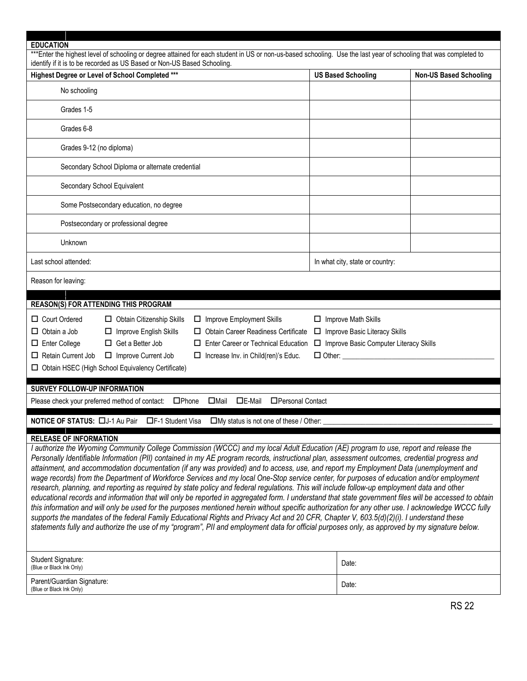| <b>EDUCATION</b>                                                                                                                                                                                                                                                                                                                                                                                                                                                                                                                                                                                                                                                                                                                                                                                                                                                                                                                                                                                                                                                                                                                                                                                                                                                                                                                                                             |                                                                                                                            |                               |  |  |  |
|------------------------------------------------------------------------------------------------------------------------------------------------------------------------------------------------------------------------------------------------------------------------------------------------------------------------------------------------------------------------------------------------------------------------------------------------------------------------------------------------------------------------------------------------------------------------------------------------------------------------------------------------------------------------------------------------------------------------------------------------------------------------------------------------------------------------------------------------------------------------------------------------------------------------------------------------------------------------------------------------------------------------------------------------------------------------------------------------------------------------------------------------------------------------------------------------------------------------------------------------------------------------------------------------------------------------------------------------------------------------------|----------------------------------------------------------------------------------------------------------------------------|-------------------------------|--|--|--|
| ***Enter the highest level of schooling or degree attained for each student in US or non-us-based schooling. Use the last year of schooling that was completed to<br>identify if it is to be recorded as US Based or Non-US Based Schooling.                                                                                                                                                                                                                                                                                                                                                                                                                                                                                                                                                                                                                                                                                                                                                                                                                                                                                                                                                                                                                                                                                                                                 |                                                                                                                            |                               |  |  |  |
| Highest Degree or Level of School Completed ***                                                                                                                                                                                                                                                                                                                                                                                                                                                                                                                                                                                                                                                                                                                                                                                                                                                                                                                                                                                                                                                                                                                                                                                                                                                                                                                              | <b>US Based Schooling</b>                                                                                                  | <b>Non-US Based Schooling</b> |  |  |  |
| No schooling                                                                                                                                                                                                                                                                                                                                                                                                                                                                                                                                                                                                                                                                                                                                                                                                                                                                                                                                                                                                                                                                                                                                                                                                                                                                                                                                                                 |                                                                                                                            |                               |  |  |  |
| Grades 1-5                                                                                                                                                                                                                                                                                                                                                                                                                                                                                                                                                                                                                                                                                                                                                                                                                                                                                                                                                                                                                                                                                                                                                                                                                                                                                                                                                                   |                                                                                                                            |                               |  |  |  |
| Grades 6-8                                                                                                                                                                                                                                                                                                                                                                                                                                                                                                                                                                                                                                                                                                                                                                                                                                                                                                                                                                                                                                                                                                                                                                                                                                                                                                                                                                   |                                                                                                                            |                               |  |  |  |
| Grades 9-12 (no diploma)                                                                                                                                                                                                                                                                                                                                                                                                                                                                                                                                                                                                                                                                                                                                                                                                                                                                                                                                                                                                                                                                                                                                                                                                                                                                                                                                                     |                                                                                                                            |                               |  |  |  |
| Secondary School Diploma or alternate credential                                                                                                                                                                                                                                                                                                                                                                                                                                                                                                                                                                                                                                                                                                                                                                                                                                                                                                                                                                                                                                                                                                                                                                                                                                                                                                                             |                                                                                                                            |                               |  |  |  |
| Secondary School Equivalent                                                                                                                                                                                                                                                                                                                                                                                                                                                                                                                                                                                                                                                                                                                                                                                                                                                                                                                                                                                                                                                                                                                                                                                                                                                                                                                                                  |                                                                                                                            |                               |  |  |  |
| Some Postsecondary education, no degree                                                                                                                                                                                                                                                                                                                                                                                                                                                                                                                                                                                                                                                                                                                                                                                                                                                                                                                                                                                                                                                                                                                                                                                                                                                                                                                                      |                                                                                                                            |                               |  |  |  |
| Postsecondary or professional degree                                                                                                                                                                                                                                                                                                                                                                                                                                                                                                                                                                                                                                                                                                                                                                                                                                                                                                                                                                                                                                                                                                                                                                                                                                                                                                                                         |                                                                                                                            |                               |  |  |  |
| <b>Unknown</b>                                                                                                                                                                                                                                                                                                                                                                                                                                                                                                                                                                                                                                                                                                                                                                                                                                                                                                                                                                                                                                                                                                                                                                                                                                                                                                                                                               |                                                                                                                            |                               |  |  |  |
| Last school attended:                                                                                                                                                                                                                                                                                                                                                                                                                                                                                                                                                                                                                                                                                                                                                                                                                                                                                                                                                                                                                                                                                                                                                                                                                                                                                                                                                        | In what city, state or country:                                                                                            |                               |  |  |  |
| Reason for leaving:                                                                                                                                                                                                                                                                                                                                                                                                                                                                                                                                                                                                                                                                                                                                                                                                                                                                                                                                                                                                                                                                                                                                                                                                                                                                                                                                                          |                                                                                                                            |                               |  |  |  |
| <b>REASON(S) FOR ATTENDING THIS PROGRAM</b>                                                                                                                                                                                                                                                                                                                                                                                                                                                                                                                                                                                                                                                                                                                                                                                                                                                                                                                                                                                                                                                                                                                                                                                                                                                                                                                                  |                                                                                                                            |                               |  |  |  |
| □ Court Ordered<br>□ Obtain Citizenship Skills<br>$\Box$ Improve Employment Skills<br>□ Obtain Career Readiness Certificate<br>$\Box$ Obtain a Job<br>□ Improve English Skills<br>$\Box$ Enter College<br>$\Box$ Get a Better Job<br>$\Box$ Enter Career or Technical Education<br>Retain Current Job<br>□ Improve Current Job<br>$\Box$ Increase Inv. in Child(ren)'s Educ.<br>□ Obtain HSEC (High School Equivalency Certificate)                                                                                                                                                                                                                                                                                                                                                                                                                                                                                                                                                                                                                                                                                                                                                                                                                                                                                                                                          | $\Box$ Improve Math Skills<br>□ Improve Basic Literacy Skills<br>□ Improve Basic Computer Literacy Skills<br>$\Box$ Other: |                               |  |  |  |
| <b>SURVEY FOLLOW-UP INFORMATION</b>                                                                                                                                                                                                                                                                                                                                                                                                                                                                                                                                                                                                                                                                                                                                                                                                                                                                                                                                                                                                                                                                                                                                                                                                                                                                                                                                          |                                                                                                                            |                               |  |  |  |
| $\square$ Phone<br>Please check your preferred method of contact:<br>$\Box$ Mail<br>$\Box$ E-Mail<br>□Personal Contact                                                                                                                                                                                                                                                                                                                                                                                                                                                                                                                                                                                                                                                                                                                                                                                                                                                                                                                                                                                                                                                                                                                                                                                                                                                       |                                                                                                                            |                               |  |  |  |
| NOTICE OF STATUS: [JJ-1 Au Pair<br>□F-1 Student Visa<br>□My status is not one of these / Other:                                                                                                                                                                                                                                                                                                                                                                                                                                                                                                                                                                                                                                                                                                                                                                                                                                                                                                                                                                                                                                                                                                                                                                                                                                                                              |                                                                                                                            |                               |  |  |  |
| <b>RELEASE OF INFORMATION</b><br>I authorize the Wyoming Community College Commission (WCCC) and my local Adult Education (AE) program to use, report and release the<br>Personally Identifiable Information (PII) contained in my AE program records, instructional plan, assessment outcomes, credential progress and<br>attainment, and accommodation documentation (if any was provided) and to access, use, and report my Employment Data (unemployment and<br>wage records) from the Department of Workforce Services and my local One-Stop service center, for purposes of education and/or employment<br>research, planning, and reporting as required by state policy and federal regulations. This will include follow-up employment data and other<br>educational records and information that will only be reported in aggregated form. I understand that state government files will be accessed to obtain<br>this information and will only be used for the purposes mentioned herein without specific authorization for any other use. I acknowledge WCCC fully<br>supports the mandates of the federal Family Educational Rights and Privacy Act and 20 CFR, Chapter V, 603.5(d)(2)(i). I understand these<br>statements fully and authorize the use of my "program", PII and employment data for official purposes only, as approved by my signature below. |                                                                                                                            |                               |  |  |  |
| Student Signature:<br>(Blue or Black Ink Only)                                                                                                                                                                                                                                                                                                                                                                                                                                                                                                                                                                                                                                                                                                                                                                                                                                                                                                                                                                                                                                                                                                                                                                                                                                                                                                                               | Date:                                                                                                                      |                               |  |  |  |
| Parent/Guardian Signature:<br>(Blue or Black Ink Only)                                                                                                                                                                                                                                                                                                                                                                                                                                                                                                                                                                                                                                                                                                                                                                                                                                                                                                                                                                                                                                                                                                                                                                                                                                                                                                                       | Date:                                                                                                                      |                               |  |  |  |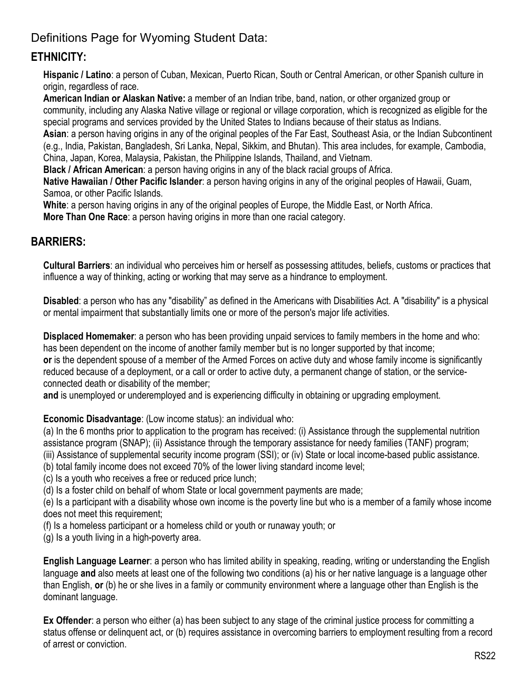## Definitions Page for Wyoming Student Data:

### **ETHNICITY:**

**Hispanic / Latino**: a person of Cuban, Mexican, Puerto Rican, South or Central American, or other Spanish culture in origin, regardless of race.

**American Indian or Alaskan Native:** a member of an Indian tribe, band, nation, or other organized group or community, including any Alaska Native village or regional or village corporation, which is recognized as eligible for the special programs and services provided by the United States to Indians because of their status as Indians.

**Asian**: a person having origins in any of the original peoples of the Far East, Southeast Asia, or the Indian Subcontinent (e.g., India, Pakistan, Bangladesh, Sri Lanka, Nepal, Sikkim, and Bhutan). This area includes, for example, Cambodia, China, Japan, Korea, Malaysia, Pakistan, the Philippine Islands, Thailand, and Vietnam.

**Black / African American**: a person having origins in any of the black racial groups of Africa.

**Native Hawaiian / Other Pacific Islander**: a person having origins in any of the original peoples of Hawaii, Guam, Samoa, or other Pacific Islands.

**White**: a person having origins in any of the original peoples of Europe, the Middle East, or North Africa.

**More Than One Race**: a person having origins in more than one racial category.

#### **BARRIERS:**

**Cultural Barriers**: an individual who perceives him or herself as possessing attitudes, beliefs, customs or practices that influence a way of thinking, acting or working that may serve as a hindrance to employment.

**Disabled**: a person who has any "disability" as defined in the Americans with Disabilities Act. A "disability" is a physical or mental impairment that substantially limits one or more of the person's major life activities.

**Displaced Homemaker**: a person who has been providing unpaid services to family members in the home and who: has been dependent on the income of another family member but is no longer supported by that income; **or** is the dependent spouse of a member of the Armed Forces on active duty and whose family income is significantly reduced because of a deployment, or a call or order to active duty, a permanent change of station, or the serviceconnected death or disability of the member;

**and** is unemployed or underemployed and is experiencing difficulty in obtaining or upgrading employment.

**Economic Disadvantage**: (Low income status): an individual who:

(a) In the 6 months prior to application to the program has received: (i) Assistance through the supplemental nutrition assistance program (SNAP); (ii) Assistance through the temporary assistance for needy families (TANF) program;

(iii) Assistance of supplemental security income program (SSI); or (iv) State or local income-based public assistance.

(b) total family income does not exceed 70% of the lower living standard income level;

(c) Is a youth who receives a free or reduced price lunch;

(d) Is a foster child on behalf of whom State or local government payments are made;

(e) Is a participant with a disability whose own income is the poverty line but who is a member of a family whose income does not meet this requirement;

(f) Is a homeless participant or a homeless child or youth or runaway youth; or

(g) Is a youth living in a high-poverty area.

**English Language Learner**: a person who has limited ability in speaking, reading, writing or understanding the English language **and** also meets at least one of the following two conditions (a) his or her native language is a language other than English, **or** (b) he or she lives in a family or community environment where a language other than English is the dominant language.

**Ex Offender**: a person who either (a) has been subject to any stage of the criminal justice process for committing a status offense or delinquent act, or (b) requires assistance in overcoming barriers to employment resulting from a record of arrest or conviction.